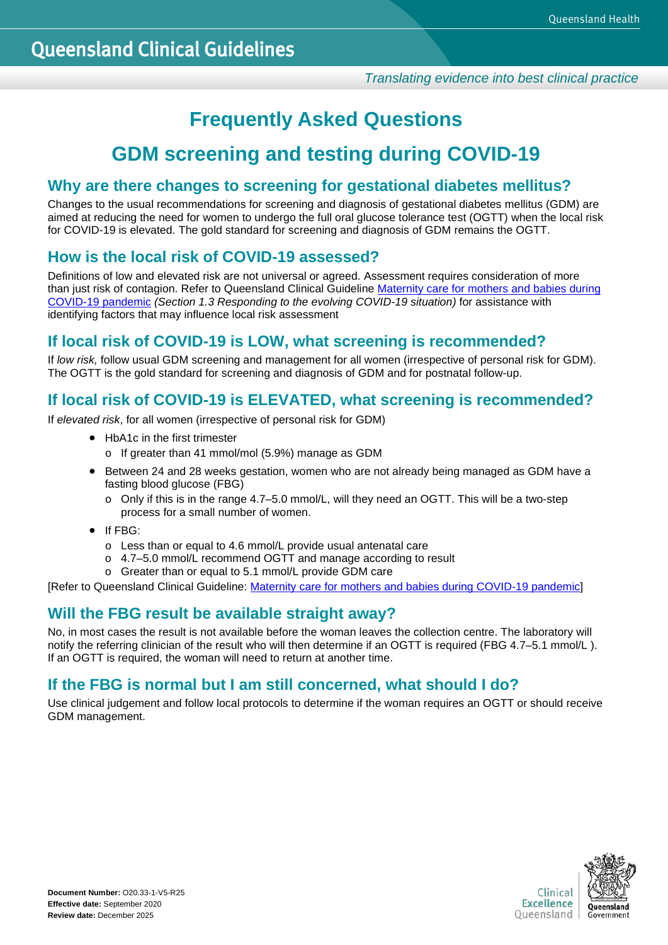# **Frequently Asked Questions**

# **GDM screening and testing during COVID-19**

## **Why are there changes to screening for gestational diabetes mellitus?**

Changes to the usual recommendations for screening and diagnosis of gestational diabetes mellitus (GDM) are aimed at reducing the need for women to undergo the full oral glucose tolerance test (OGTT) when the local risk for COVID-19 is elevated. The gold standard for screening and diagnosis of GDM remains the OGTT.

# **How is the local risk of COVID-19 assessed?**

Definitions of low and elevated risk are not universal or agreed. Assessment requires consideration of more than just risk of contagion. Refer to Queensland Clinical Guideline Maternity care for mothers and babies during [COVID-19 pandemic](https://www.health.qld.gov.au/__data/assets/pdf_file/0033/947148/g-covid-19.pdf) *(Section 1.3 Responding to the evolving COVID-19 situation)* for assistance with identifying factors that may influence local risk assessment

## **If local risk of COVID-19 is LOW, what screening is recommended?**

If *low risk,* follow usual GDM screening and management for all women (irrespective of personal risk for GDM). The OGTT is the gold standard for screening and diagnosis of GDM and for postnatal follow-up.

# **If local risk of COVID-19 is ELEVATED, what screening is recommended?**

If *elevated risk*, for all women (irrespective of personal risk for GDM)

- HbA1c in the first trimester
	- o If greater than 41 mmol/mol (5.9%) manage as GDM
- Between 24 and 28 weeks gestation, women who are not already being managed as GDM have a fasting blood glucose (FBG)
	- o Only if this is in the range 4.7–5.0 mmol/L, will they need an OGTT. This will be a two-step process for a small number of women.
- If FBG:
	- o Less than or equal to 4.6 mmol/L provide usual antenatal care
	- o 4.7–5.0 mmol/L recommend OGTT and manage according to result
	- o Greater than or equal to 5.1 mmol/L provide GDM care

[Refer to Queensland Clinical Guideline: [Maternity care for mothers and babies during COVID-19 pandemic\]](https://www.health.qld.gov.au/__data/assets/pdf_file/0033/947148/g-covid-19.pdf)

# **Will the FBG result be available straight away?**

No, in most cases the result is not available before the woman leaves the collection centre. The laboratory will notify the referring clinician of the result who will then determine if an OGTT is required (FBG 4.7–5.1 mmol/L). If an OGTT is required, the woman will need to return at another time.

# **If the FBG is normal but I am still concerned, what should I do?**

Use clinical judgement and follow local protocols to determine if the woman requires an OGTT or should receive GDM management.

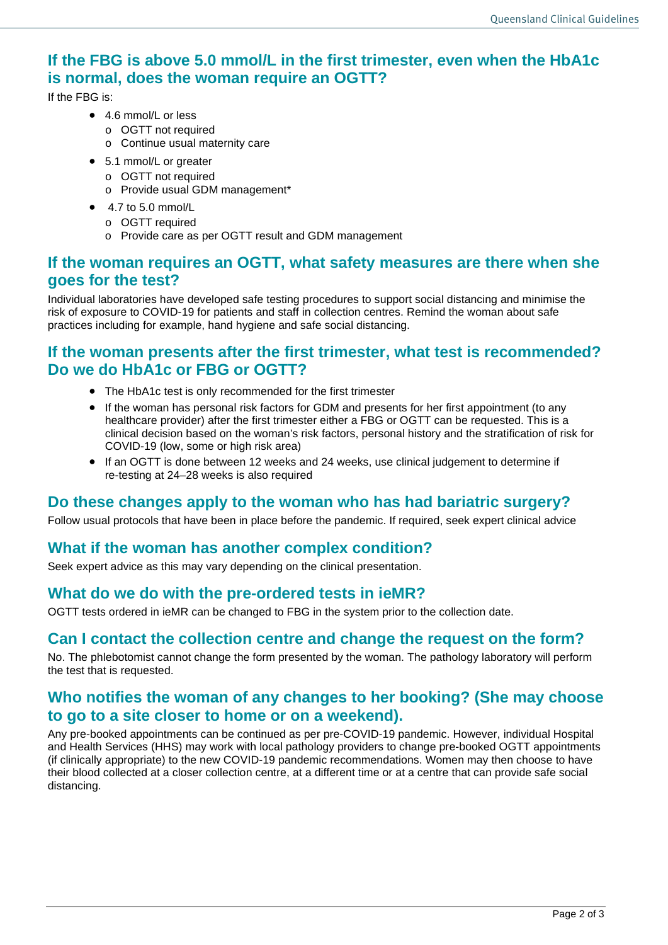# **If the FBG is above 5.0 mmol/L in the first trimester, even when the HbA1c is normal, does the woman require an OGTT?**

If the FBG is:

- 4.6 mmol/L or less
	- o OGTT not required
	- o Continue usual maternity care
- 5.1 mmol/L or greater
	- o OGTT not required
	- o Provide usual GDM management\*
- $\bullet$  4.7 to 5.0 mmol/L
	- o OGTT required
	- o Provide care as per OGTT result and GDM management

#### **If the woman requires an OGTT, what safety measures are there when she goes for the test?**

Individual laboratories have developed safe testing procedures to support social distancing and minimise the risk of exposure to COVID-19 for patients and staff in collection centres. Remind the woman about safe practices including for example, hand hygiene and safe social distancing.

#### **If the woman presents after the first trimester, what test is recommended? Do we do HbA1c or FBG or OGTT?**

- The HbA1c test is only recommended for the first trimester
- If the woman has personal risk factors for GDM and presents for her first appointment (to any healthcare provider) after the first trimester either a FBG or OGTT can be requested. This is a clinical decision based on the woman's risk factors, personal history and the stratification of risk for COVID-19 (low, some or high risk area)
- If an OGTT is done between 12 weeks and 24 weeks, use clinical judgement to determine if re-testing at 24–28 weeks is also required

# **Do these changes apply to the woman who has had bariatric surgery?**

Follow usual protocols that have been in place before the pandemic. If required, seek expert clinical advice

#### **What if the woman has another complex condition?**

Seek expert advice as this may vary depending on the clinical presentation.

#### **What do we do with the pre-ordered tests in ieMR?**

OGTT tests ordered in ieMR can be changed to FBG in the system prior to the collection date.

# **Can I contact the collection centre and change the request on the form?**

No. The phlebotomist cannot change the form presented by the woman. The pathology laboratory will perform the test that is requested.

#### **Who notifies the woman of any changes to her booking? (She may choose to go to a site closer to home or on a weekend).**

Any pre-booked appointments can be continued as per pre-COVID-19 pandemic. However, individual Hospital and Health Services (HHS) may work with local pathology providers to change pre-booked OGTT appointments (if clinically appropriate) to the new COVID-19 pandemic recommendations. Women may then choose to have their blood collected at a closer collection centre, at a different time or at a centre that can provide safe social distancing.